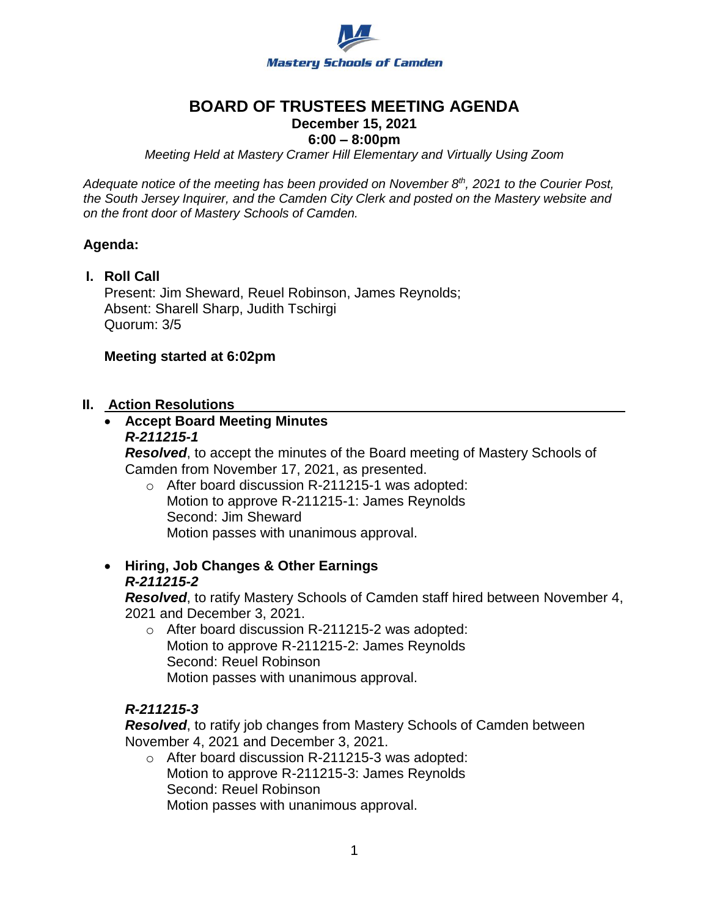

# **BOARD OF TRUSTEES MEETING AGENDA**

## **December 15, 2021**

### **6:00 – 8:00pm**

*Meeting Held at Mastery Cramer Hill Elementary and Virtually Using Zoom*

*Adequate notice of the meeting has been provided on November 8th, 2021 to the Courier Post, the South Jersey Inquirer, and the Camden City Clerk and posted on the Mastery website and on the front door of Mastery Schools of Camden.*

#### **Agenda:**

**I. Roll Call** Present: Jim Sheward, Reuel Robinson, James Reynolds; Absent: Sharell Sharp, Judith Tschirgi Quorum: 3/5

#### **Meeting started at 6:02pm**

#### **II. Action Resolutions**

# **Accept Board Meeting Minutes**

#### *R-211215-1*

*Resolved*, to accept the minutes of the Board meeting of Mastery Schools of Camden from November 17, 2021, as presented.

- o After board discussion R-211215-1 was adopted: Motion to approve R-211215-1: James Reynolds Second: Jim Sheward Motion passes with unanimous approval.
- **Hiring, Job Changes & Other Earnings**  *R-211215-2*

*Resolved*, to ratify Mastery Schools of Camden staff hired between November 4, 2021 and December 3, 2021.

o After board discussion R-211215-2 was adopted: Motion to approve R-211215-2: James Reynolds Second: Reuel Robinson Motion passes with unanimous approval.

#### *R-211215-3*

*Resolved*, to ratify job changes from Mastery Schools of Camden between November 4, 2021 and December 3, 2021.

o After board discussion R-211215-3 was adopted: Motion to approve R-211215-3: James Reynolds Second: Reuel Robinson Motion passes with unanimous approval.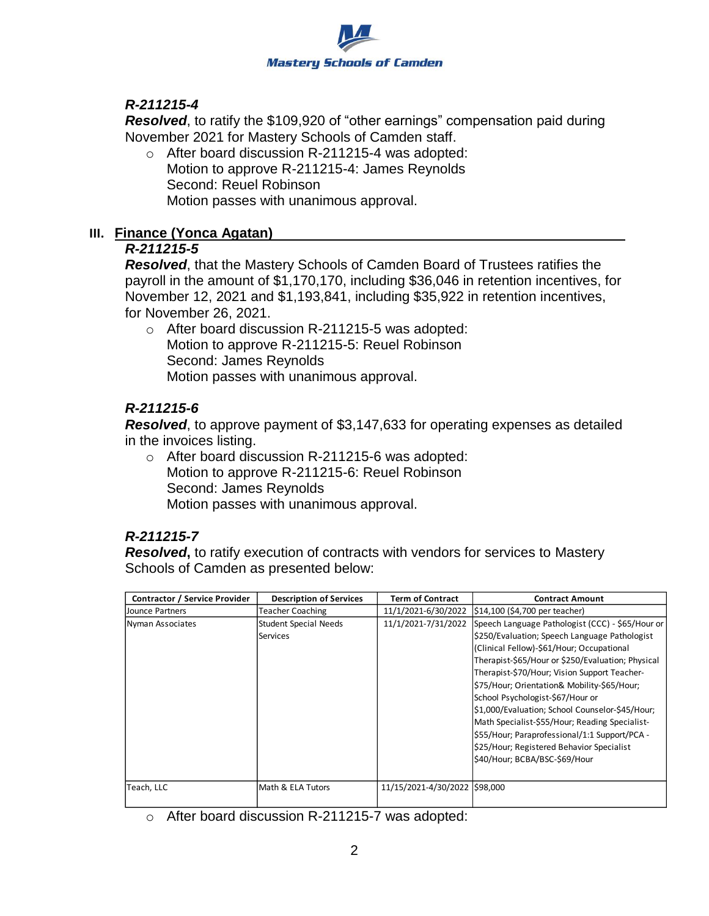

## *R-211215-4*

*Resolved*, to ratify the \$109,920 of "other earnings" compensation paid during November 2021 for Mastery Schools of Camden staff.

o After board discussion R-211215-4 was adopted: Motion to approve R-211215-4: James Reynolds Second: Reuel Robinson Motion passes with unanimous approval.

#### **III. Finance (Yonca Agatan)**

## *R-211215-5*

*Resolved*, that the Mastery Schools of Camden Board of Trustees ratifies the payroll in the amount of \$1,170,170, including \$36,046 in retention incentives, for November 12, 2021 and \$1,193,841, including \$35,922 in retention incentives, for November 26, 2021.

o After board discussion R-211215-5 was adopted: Motion to approve R-211215-5: Reuel Robinson Second: James Reynolds Motion passes with unanimous approval.

## *R-211215-6*

*Resolved*, to approve payment of \$3,147,633 for operating expenses as detailed in the invoices listing.

o After board discussion R-211215-6 was adopted: Motion to approve R-211215-6: Reuel Robinson Second: James Reynolds Motion passes with unanimous approval.

## *R-211215-7*

*Resolved***,** to ratify execution of contracts with vendors for services to Mastery Schools of Camden as presented below:

| <b>Contractor / Service Provider</b> | <b>Description of Services</b> | <b>Term of Contract</b>       | <b>Contract Amount</b>                            |
|--------------------------------------|--------------------------------|-------------------------------|---------------------------------------------------|
| Jounce Partners                      | <b>Teacher Coaching</b>        | 11/1/2021-6/30/2022           | $$14,100$ (\$4,700 per teacher)                   |
| Nyman Associates                     | <b>Student Special Needs</b>   | 11/1/2021-7/31/2022           | Speech Language Pathologist (CCC) - \$65/Hour or  |
|                                      | Services                       |                               | \$250/Evaluation; Speech Language Pathologist     |
|                                      |                                |                               | (Clinical Fellow)-\$61/Hour; Occupational         |
|                                      |                                |                               | Therapist-\$65/Hour or \$250/Evaluation; Physical |
|                                      |                                |                               | Therapist-\$70/Hour; Vision Support Teacher-      |
|                                      |                                |                               | \$75/Hour; Orientation& Mobility-\$65/Hour;       |
|                                      |                                |                               | School Psychologist-\$67/Hour or                  |
|                                      |                                |                               | \$1,000/Evaluation; School Counselor-\$45/Hour;   |
|                                      |                                |                               | Math Specialist-\$55/Hour; Reading Specialist-    |
|                                      |                                |                               | \$55/Hour; Paraprofessional/1:1 Support/PCA -     |
|                                      |                                |                               | \$25/Hour; Registered Behavior Specialist         |
|                                      |                                |                               | \$40/Hour; BCBA/BSC-\$69/Hour                     |
|                                      |                                |                               |                                                   |
| Teach, LLC                           | Math & ELA Tutors              | 11/15/2021-4/30/2022 \$98,000 |                                                   |

o After board discussion R-211215-7 was adopted: